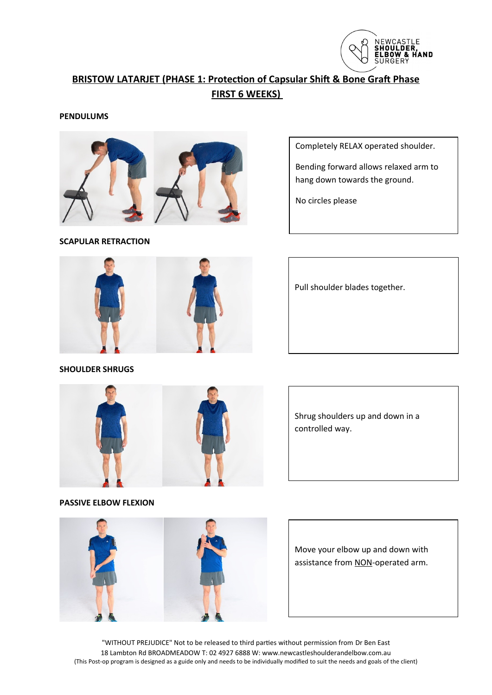

# **BRISTOW LATARJET (PHASE 1: Protection of Capsular Shift & Bone Graft Phase FIRST 6 WEEKS)**

**PENDULUMS**



**SCAPULAR RETRACTION**

Completely RELAX operated shoulder.

Bending forward allows relaxed arm to hang down towards the ground.

No circles please



**SHOULDER SHRUGS**

Pull shoulder blades together.



Shrug shoulders up and down in a controlled way.

**PASSIVE ELBOW FLEXION**



Move your elbow up and down with assistance from NON-operated arm.

"WITHOUT PREJUDICE" Not to be released to third parties without permission from Dr Ben East 18 Lambton Rd BROADMEADOW T: 02 4927 6888 W: www.newcastleshoulderandelbow.com.au (This Post-op program is designed as a guide only and needs to be individually modified to suit the needs and goals of the client)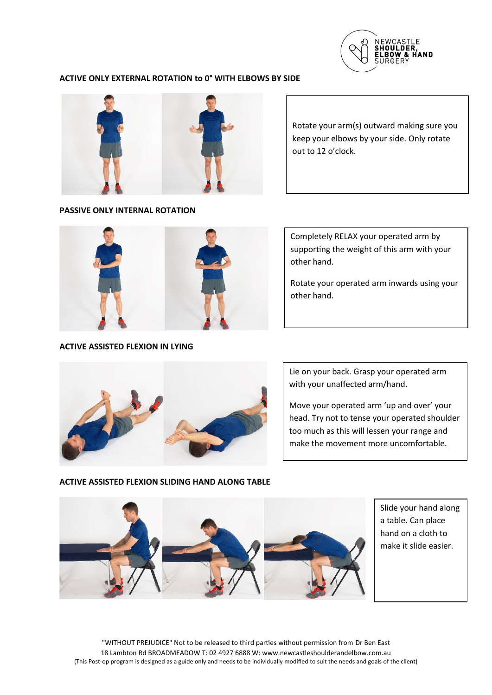

## **ACTIVE ONLY EXTERNAL ROTATION to 0° WITH ELBOWS BY SIDE**



#### **PASSIVE ONLY INTERNAL ROTATION**

Rotate your arm(s) outward making sure you keep your elbows by your side. Only rotate out to 12 o'clock.



## **ACTIVE ASSISTED FLEXION IN LYING**

Completely RELAX your operated arm by supporting the weight of this arm with your other hand.

Rotate your operated arm inwards using your other hand.



Lie on your back. Grasp your operated arm with your unaffected arm/hand.

Move your operated arm 'up and over' your head. Try not to tense your operated shoulder too much as this will lessen your range and make the movement more uncomfortable.

#### **ACTIVE ASSISTED FLEXION SLIDING HAND ALONG TABLE**



Slide your hand along a table. Can place hand on a cloth to make it slide easier.